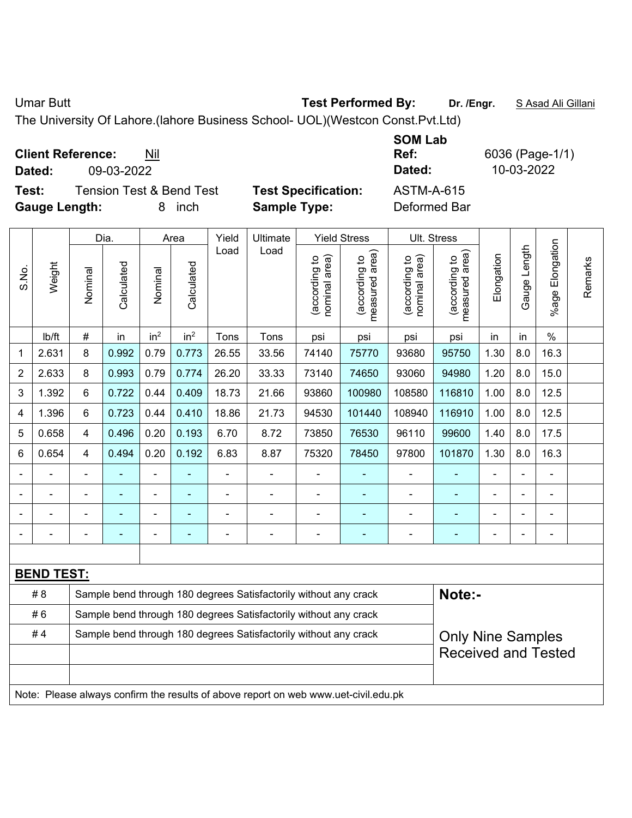Umar Butt **Test Performed By:** Dr. /Engr. S Asad Ali Gillani

The University Of Lahore.(lahore Business School- UOL)(Westcon Const.Pvt.Ltd)

| <b>Client Reference:</b><br>Nil |
|---------------------------------|
|---------------------------------|

**Test:** Tension Test & Bend Test **Test Specification:** ASTM-A-615 **Gauge Length:** 8 inch **Sample Type:** Deformed Bar

Dia. | Area | Yield | Ultimate | Yield Stress | Ult. Stress %age Elongation %age Elongation Gauge Length Load Load Gauge Length measured area) measured area) (according to<br>nominal area) (according to<br>nominal area) (according to<br>measured area) (according to<br>measured area) **Elongation** nominal area) nominal area) Elongation (according to (according to (according to (according to Remarks Remarks **Calculated Calculated** Weight Calculated Calculated S.No. Nominal Nominal Vominal Vominal | lb/ft | # | in | in<sup>2</sup> | in<sup>2</sup> | Tons | Tons | psi | psi | psi | psi | in | in | % 1 | 2.631 | 8 | 0.992 | 0.79 | 0.773 | 26.55 | 33.56 | 74140 | 75770 | 93680 | 95750 | 1.30 | 8.0 | 16.3 2 | 2.633 | 8 | 0.993 | 0.79 | 0.774 | 26.20 | 33.33 | 73140 | 74650 | 93060 | 94980 | 1.20 | 8.0 | 15.0 3 | 1.392 | 6 | 0.722 | 0.44 | 0.409 | 18.73 | 21.66 | 93860 | 100980 | 108580 | 116810 | 1.00 | 8.0 | 12.5 4 | 1.396 | 6 | 0.723 | 0.44 | 0.410 | 18.86 | 21.73 | 94530 | 101440 | 108940 | 116910 | 1.00 | 8.0 | 12.5 5 | 0.658 | 4 | 0.496 | 0.20 | 0.193 | 6.70 | 8.72 | 73850 | 76530 | 96110 | 99600 | 1.40 | 8.0 | 17.5 6 | 0.654 | 4 | 0.494 | 0.20 | 0.192 | 6.83 | 8.87 | 75320 | 78450 | 97800 | 101870 | 1.30 | 8.0 | 16.3 - - - - - - - - - - - - - - - - - - - - - - - - - - - - - - - - - - - - - - - - - - - - - - - - - - - - - - - - - - - - **BEND TEST:**  # 8 Sample bend through 180 degrees Satisfactorily without any crack **Note:**-#6 Sample bend through 180 degrees Satisfactorily without any crack #4 | Sample bend through 180 degrees Satisfactorily without any crack Only Nine Samples Received and Tested Note: Please always confirm the results of above report on web www.uet-civil.edu.pk

**SOM Lab Ref:** 6036 (Page-1/1) **Dated:** 09-03-2022 **Dated:** 10-03-2022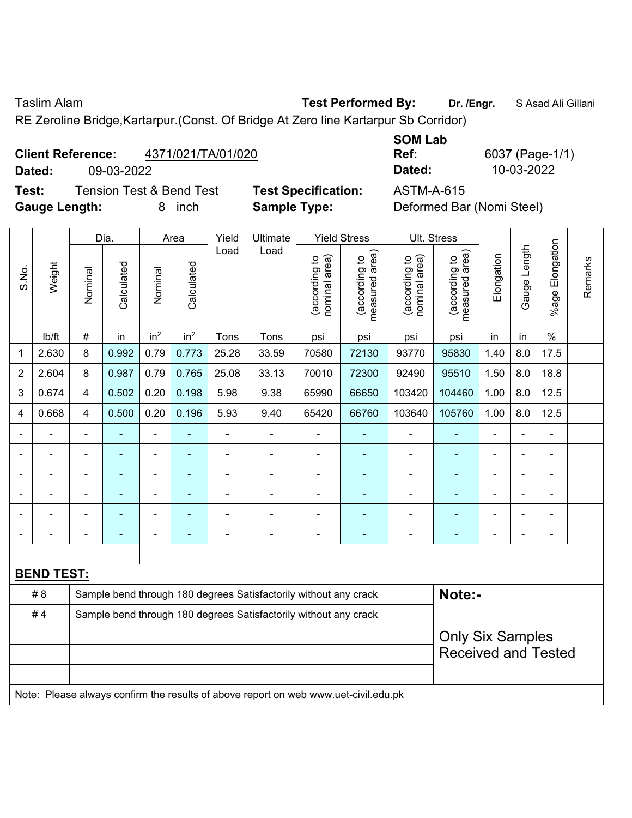Taslim Alam **Test Performed By: Dr. /Engr.** S Asad Ali Gillani

RE Zeroline Bridge,Kartarpur.(Const. Of Bridge At Zero line Kartarpur Sb Corridor)

## **Client Reference:** 4371/021/TA/01/020

**Dated:** 09-03-2022 **Dated:** 10-03-2022

**Test:** Tension Test & Bend Test **Test Specification:** ASTM-A-615 **Gauge Length:** 8 inch **Sample Type:** Deformed Bar (Nomi Steel)

**SOM Lab** 

**Ref:** 6037 (Page-1/1)

| Deformed Bar (Nomi Steel) |  |  |
|---------------------------|--|--|
|                           |  |  |

|                |                   |                | Dia.           |                 | Area            |                | Ultimate                                                                            | <b>Yield Stress</b>            |                                 |                                | Ult. Stress                     |                |                          |                          |         |
|----------------|-------------------|----------------|----------------|-----------------|-----------------|----------------|-------------------------------------------------------------------------------------|--------------------------------|---------------------------------|--------------------------------|---------------------------------|----------------|--------------------------|--------------------------|---------|
| S.No.          | Weight            | Nominal        | Calculated     | Nominal         | Calculated      | Load           | Load                                                                                | nominal area)<br>(according to | (according to<br>measured area) | (according to<br>nominal area) | (according to<br>measured area) | Elongation     | Gauge Length             | Elongation<br>$%$ age I  | Remarks |
|                | Ib/ft             | #              | in             | in <sup>2</sup> | in <sup>2</sup> | Tons           | Tons                                                                                | psi                            | psi                             | psi                            | psi                             | in             | in                       | $\frac{0}{0}$            |         |
| 1              | 2.630             | 8              | 0.992          | 0.79            | 0.773           | 25.28          | 33.59                                                                               | 70580                          | 72130                           | 93770                          | 95830                           | 1.40           | 8.0                      | 17.5                     |         |
| $\overline{2}$ | 2.604             | 8              | 0.987          | 0.79            | 0.765           | 25.08          | 33.13                                                                               | 70010                          | 72300                           | 92490                          | 95510                           | 1.50           | 8.0                      | 18.8                     |         |
| 3              | 0.674             | $\overline{4}$ | 0.502          | 0.20            | 0.198           | 5.98           | 9.38                                                                                | 65990                          | 66650                           | 103420                         | 104460                          | 1.00           | 8.0                      | 12.5                     |         |
| 4              | 0.668             | 4              | 0.500          | 0.20            | 0.196           | 5.93           | 9.40                                                                                | 65420                          | 66760                           | 103640                         | 105760                          | 1.00           | 8.0                      | 12.5                     |         |
|                |                   | $\blacksquare$ |                | ÷,              |                 | $\blacksquare$ | ÷,                                                                                  | ä,                             | $\blacksquare$                  | $\blacksquare$                 | $\blacksquare$                  | ä,             | Ĭ.                       | $\blacksquare$           |         |
|                | ÷,                | $\blacksquare$ | $\blacksquare$ | $\blacksquare$  |                 | $\blacksquare$ | ÷                                                                                   | $\blacksquare$                 | ÷                               | $\blacksquare$                 | $\blacksquare$                  | $\blacksquare$ | $\overline{\phantom{a}}$ | $\blacksquare$           |         |
|                | $\blacksquare$    | $\blacksquare$ | $\blacksquare$ | $\blacksquare$  | $\blacksquare$  | ÷              | ä,                                                                                  | $\blacksquare$                 | ٠                               | $\blacksquare$                 | $\blacksquare$                  | $\blacksquare$ |                          | $\blacksquare$           |         |
|                |                   |                |                | $\blacksquare$  |                 |                | $\overline{a}$                                                                      | ÷                              | $\blacksquare$                  | $\blacksquare$                 | ۰                               |                |                          | ÷                        |         |
|                |                   |                |                |                 |                 |                | ÷                                                                                   | ä,                             |                                 | $\blacksquare$                 | $\blacksquare$                  |                |                          |                          |         |
|                |                   | $\blacksquare$ | $\blacksquare$ | $\blacksquare$  |                 | Ē,             | $\blacksquare$                                                                      | $\overline{\phantom{a}}$       | $\blacksquare$                  | $\blacksquare$                 | ٠                               | $\blacksquare$ | ÷                        | $\overline{\phantom{a}}$ |         |
|                |                   |                |                |                 |                 |                |                                                                                     |                                |                                 |                                |                                 |                |                          |                          |         |
|                | <b>BEND TEST:</b> |                |                |                 |                 |                |                                                                                     |                                |                                 |                                |                                 |                |                          |                          |         |
|                | #8                |                |                |                 |                 |                | Sample bend through 180 degrees Satisfactorily without any crack                    |                                |                                 |                                | Note:-                          |                |                          |                          |         |
|                | #4                |                |                |                 |                 |                | Sample bend through 180 degrees Satisfactorily without any crack                    |                                |                                 |                                |                                 |                |                          |                          |         |
|                |                   |                |                |                 |                 |                |                                                                                     |                                |                                 |                                | <b>Only Six Samples</b>         |                |                          |                          |         |
|                |                   |                |                |                 |                 |                |                                                                                     |                                |                                 |                                | <b>Received and Tested</b>      |                |                          |                          |         |
|                |                   |                |                |                 |                 |                | Note: Please always confirm the results of above report on web www.uet-civil.edu.pk |                                |                                 |                                |                                 |                |                          |                          |         |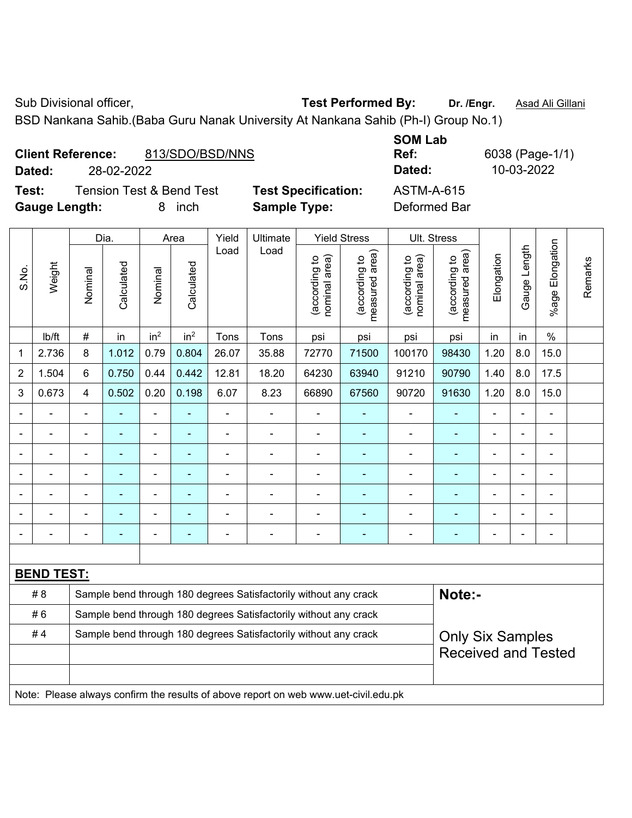Sub Divisional officer, **Test Performed By:** Dr. /Engr. **Asad Ali Gillani** Associates And Divisional Ali Gillani

BSD Nankana Sahib.(Baba Guru Nanak University At Nankana Sahib (Ph-I) Group No.1)

|                          |            |                 |             | --------                                                        |              |
|--------------------------|------------|-----------------|-------------|-----------------------------------------------------------------|--------------|
| <b>Client Reference:</b> |            | 813/SDO/BSD/NNS |             | Ref:                                                            | 6038 (Page-1 |
| Dated:                   | 28-02-2022 |                 |             | Dated:                                                          | 10-03-2022   |
| - -                      |            |                 | ___________ | $\lambda$ $\lambda$ $\tau$ $\lambda$ $\lambda$ $\lambda$ $\tau$ |              |

**Test:** Tension Test & Bend Test **Test Specification:** ASTM-A-615 **Gauge Length:** 8 inch **Sample Type:** Deformed Bar

**SOM Lab Ref:** 6038 (Page-1/1)

|                          | Weight |                | Dia.       |                          | Area            | Yield                    | Ultimate                                                         |                                | <b>Yield Stress</b>                         | Ult. Stress                    |                                 |                          |                |                            |         |
|--------------------------|--------|----------------|------------|--------------------------|-----------------|--------------------------|------------------------------------------------------------------|--------------------------------|---------------------------------------------|--------------------------------|---------------------------------|--------------------------|----------------|----------------------------|---------|
| S.No.                    |        | Nominal        | Calculated | Nominal                  | Calculated      | Load                     | Load                                                             | nominal area)<br>(according to | (according to<br>neasured area)<br>measured | nominal area)<br>(according to | (according to<br>measured area) | Elongation               | Gauge Length   | Elongation<br>$%$ age      | Remarks |
|                          | lb/ft  | $\#$           | in         | in <sup>2</sup>          | in <sup>2</sup> | Tons                     | Tons                                                             | psi                            | psi                                         | psi                            | psi                             | in                       | in             | $\%$                       |         |
| 1                        | 2.736  | 8              | 1.012      | 0.79                     | 0.804           | 26.07                    | 35.88                                                            | 72770                          | 71500                                       | 100170                         | 98430                           | 1.20                     | 8.0            | 15.0                       |         |
| $\overline{2}$           | 1.504  | $6\phantom{a}$ | 0.750      | 0.44                     | 0.442           | 12.81                    | 18.20                                                            | 64230                          | 63940                                       | 91210                          | 90790                           | 1.40                     | 8.0            | 17.5                       |         |
| 3                        | 0.673  | $\overline{4}$ | 0.502      | 0.20                     | 0.198           | 6.07                     | 8.23                                                             | 66890                          | 67560                                       | 90720                          | 91630                           | 1.20                     | 8.0            | 15.0                       |         |
| $\overline{\phantom{a}}$ | ÷      | $\blacksquare$ |            | $\overline{\phantom{a}}$ | $\blacksquare$  | $\overline{\phantom{a}}$ | ÷,                                                               | $\blacksquare$                 | $\blacksquare$                              | $\blacksquare$                 | ÷                               | ä,                       | $\blacksquare$ | $\blacksquare$             |         |
| $\blacksquare$           |        | ä,             | ä,         | $\blacksquare$           | $\blacksquare$  | $\blacksquare$           | $\blacksquare$                                                   | ä,                             | $\overline{\phantom{a}}$                    | $\blacksquare$                 | ä,                              | ÷                        |                | $\blacksquare$             |         |
|                          |        | $\blacksquare$ |            | $\blacksquare$           |                 |                          | $\blacksquare$                                                   | $\blacksquare$                 | $\blacksquare$                              | $\blacksquare$                 |                                 | $\blacksquare$           |                | $\blacksquare$             |         |
|                          |        | $\blacksquare$ |            |                          |                 |                          | $\blacksquare$                                                   |                                |                                             |                                |                                 |                          |                |                            |         |
| $\blacksquare$           |        | $\blacksquare$ |            | $\blacksquare$           |                 |                          | $\blacksquare$                                                   | ä,                             | $\blacksquare$                              | $\blacksquare$                 |                                 | $\overline{\phantom{a}}$ |                | $\blacksquare$             |         |
| $\blacksquare$           |        | $\blacksquare$ | ÷          | $\blacksquare$           | $\blacksquare$  |                          | $\blacksquare$                                                   | $\blacksquare$                 | $\overline{\phantom{a}}$                    | $\blacksquare$                 | $\blacksquare$                  | $\blacksquare$           |                | $\blacksquare$             |         |
|                          |        |                |            |                          |                 |                          |                                                                  |                                | $\blacksquare$                              |                                |                                 |                          |                | $\blacksquare$             |         |
|                          |        |                |            |                          |                 |                          |                                                                  |                                |                                             |                                |                                 |                          |                |                            |         |
| <b>BEND TEST:</b>        |        |                |            |                          |                 |                          |                                                                  |                                |                                             |                                |                                 |                          |                |                            |         |
|                          | #8     |                |            |                          |                 |                          | Sample bend through 180 degrees Satisfactorily without any crack |                                |                                             |                                | Note:-                          |                          |                |                            |         |
|                          | #6     |                |            |                          |                 |                          | Sample bend through 180 degrees Satisfactorily without any crack |                                |                                             |                                |                                 |                          |                |                            |         |
|                          | #4     |                |            |                          |                 |                          | Sample bend through 180 degrees Satisfactorily without any crack |                                |                                             |                                | <b>Only Six Samples</b>         |                          |                |                            |         |
|                          |        |                |            |                          |                 |                          |                                                                  |                                |                                             |                                |                                 |                          |                | <b>Received and Tested</b> |         |
|                          |        |                |            |                          |                 |                          |                                                                  |                                |                                             |                                |                                 |                          |                |                            |         |
|                          |        |                |            |                          |                 |                          |                                                                  |                                |                                             |                                |                                 |                          |                |                            |         |

Note: Please always confirm the results of above report on web www.uet-civil.edu.pk